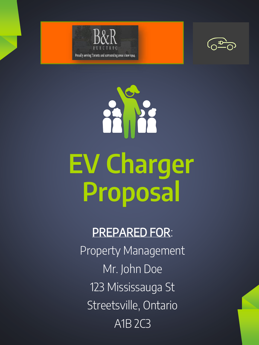





### PREPARED FOR: Property Management Mr. John Doe 123 Mississauga St Streetsville, Ontario A1B 2C3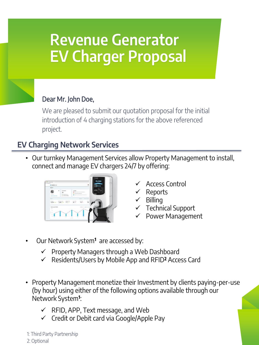# Revenue Generator EV Charger Proposal

#### Dear Mr. John Doe,

We are pleased to submit our quotation proposal for the initial introduction of 4 charging stations for the above referenced project.

#### EV Charging Network Services

• Our turnkey Management Services allow Property Management to install, connect and manage EV chargers 24/7 by offering:



- ✓ Access Control
- ✓ Reports
- ✓ Billing
- $\checkmark$  Technical Support
- ✓ Power Management
- Our Network System**<sup>1</sup>** are accessed by:
	- ✓ Property Managers through a Web Dashboard
	- ✓ Residents/Users by Mobile App and RFID**<sup>2</sup>** Access Card
- Property Management monetize their Investment by clients paying-per-use (by hour) using either of the following options available through our Network System**<sup>1</sup>** :
	- $\checkmark$  RFID, APP, Text message, and Web
	- $\checkmark$  Credit or Debit card via Google/Apple Pay

1: Third Party Partnership 2: Optional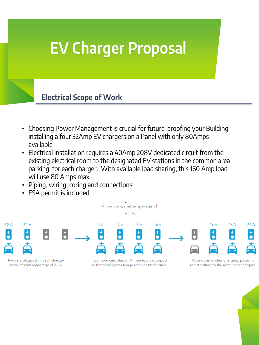# EV Charger Proposal

#### Electrical Scope of Work

- Choosing Power Management is crucial for future-proofing your Building installing a four 32Amp EV chargers on a Panel with only 80Amps available
- Electrical installation requires a 40Amp 208V dedicated circuit from the existing electrical room to the designated EV stations in the common area parking, for each charger. With available load sharing, this 160 Amp load will use 80 Amps max.
- Piping, wiring, coring and connections
- ESA permit is included

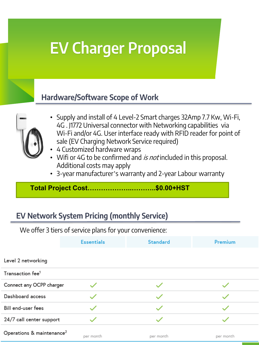# EV Charger Proposal

#### Hardware/Software Scope of Work



- Supply and install of 4 Level-2 Smart charges 32Amp 7.7 Kw, Wi-Fi, 4G . J1772 Universal connector with Networking capabilities via Wi-Fi and/or 4G. User interface ready with RFID reader for point of sale (EV Charging Network Service required)
- 4 Customized hardware wraps
- Wifi or 4G to be confirmed and is not included in this proposal. Additional costs may apply
- 3-year manufacturer's warranty and 2-year Labour warranty

**Total Project Cost………………..………..\$0.00+HST**

### EV Network System Pricing (monthly Service)

We offer 3 tiers of service plans for your convenience:

|                                       | <b>Essentials</b> | <b>Standard</b> | Premium   |
|---------------------------------------|-------------------|-----------------|-----------|
|                                       |                   |                 |           |
| Level 2 networking                    |                   |                 |           |
| Transaction fee <sup>1</sup>          |                   |                 |           |
| Connect any OCPP charger              |                   |                 |           |
| Dashboard access                      |                   |                 |           |
| <b>Bill end-user fees</b>             |                   |                 |           |
| 24/7 call center support              |                   |                 |           |
| Operations & maintenance <sup>2</sup> | per month         | per month       | per month |